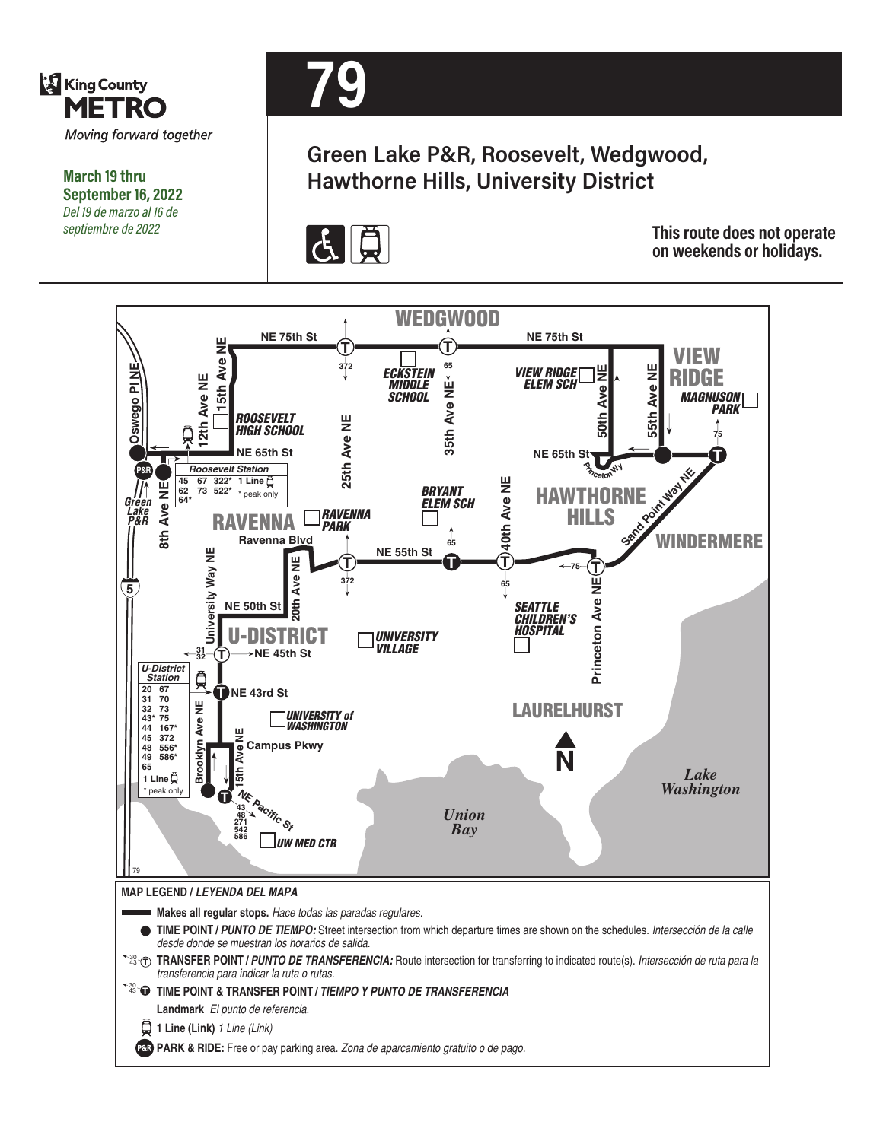

**March 19 thru September 16, 2022** *Del 19 de marzo al 16 de septiembre de 2022*



# **Green Lake P&R, Roosevelt, Wedgwood, Hawthorne Hills, University District**



**This route does not operate on weekends or holidays.**